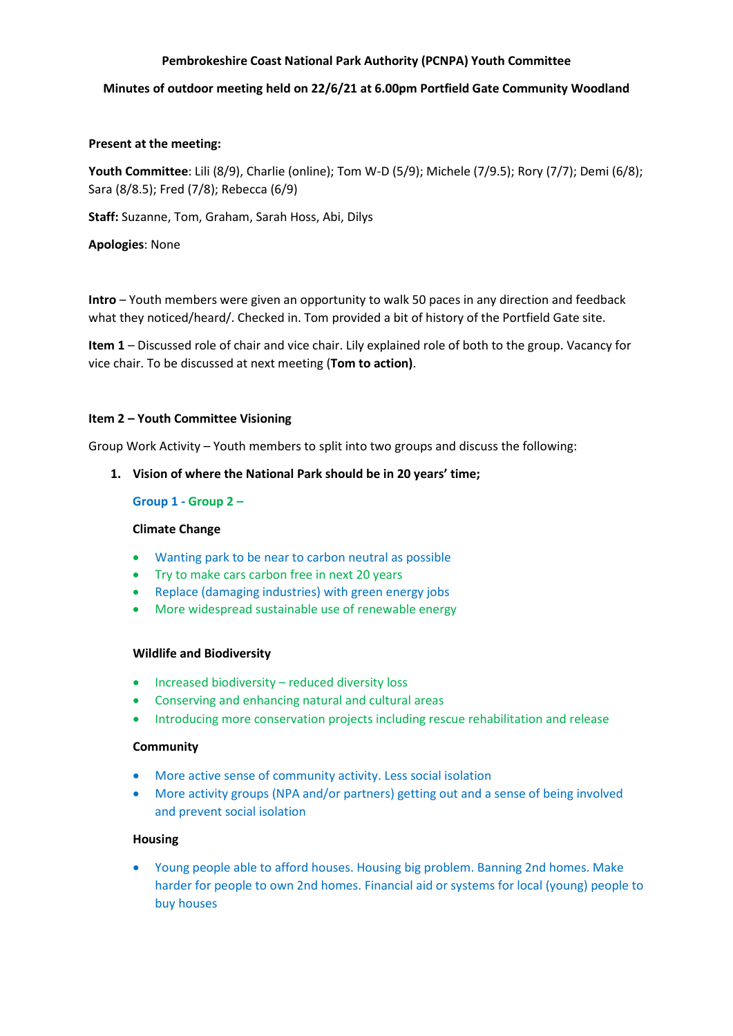## **Pembrokeshire Coast National Park Authority (PCNPA) Youth Committee**

## **Minutes of outdoor meeting held on 22/6/21 at 6.00pm Portfield Gate Community Woodland**

## **Present at the meeting:**

**Youth Committee**: Lili (8/9), Charlie (online); Tom W-D (5/9); Michele (7/9.5); Rory (7/7); Demi (6/8); Sara (8/8.5); Fred (7/8); Rebecca (6/9)

**Staff:** Suzanne, Tom, Graham, Sarah Hoss, Abi, Dilys

**Apologies**: None

**Intro** – Youth members were given an opportunity to walk 50 paces in any direction and feedback what they noticed/heard/. Checked in. Tom provided a bit of history of the Portfield Gate site.

**Item 1** – Discussed role of chair and vice chair. Lily explained role of both to the group. Vacancy for vice chair. To be discussed at next meeting (**Tom to action)**.

#### **Item 2 – Youth Committee Visioning**

Group Work Activity – Youth members to split into two groups and discuss the following:

## **1. Vision of where the National Park should be in 20 years' time;**

#### **Group 1 - Group 2 –**

#### **Climate Change**

- Wanting park to be near to carbon neutral as possible
- Try to make cars carbon free in next 20 years
- Replace (damaging industries) with green energy jobs
- More widespread sustainable use of renewable energy

#### **Wildlife and Biodiversity**

- Increased biodiversity reduced diversity loss
- Conserving and enhancing natural and cultural areas
- Introducing more conservation projects including rescue rehabilitation and release

## **Community**

- More active sense of community activity. Less social isolation
- More activity groups (NPA and/or partners) getting out and a sense of being involved and prevent social isolation

#### **Housing**

• Young people able to afford houses. Housing big problem. Banning 2nd homes. Make harder for people to own 2nd homes. Financial aid or systems for local (young) people to buy houses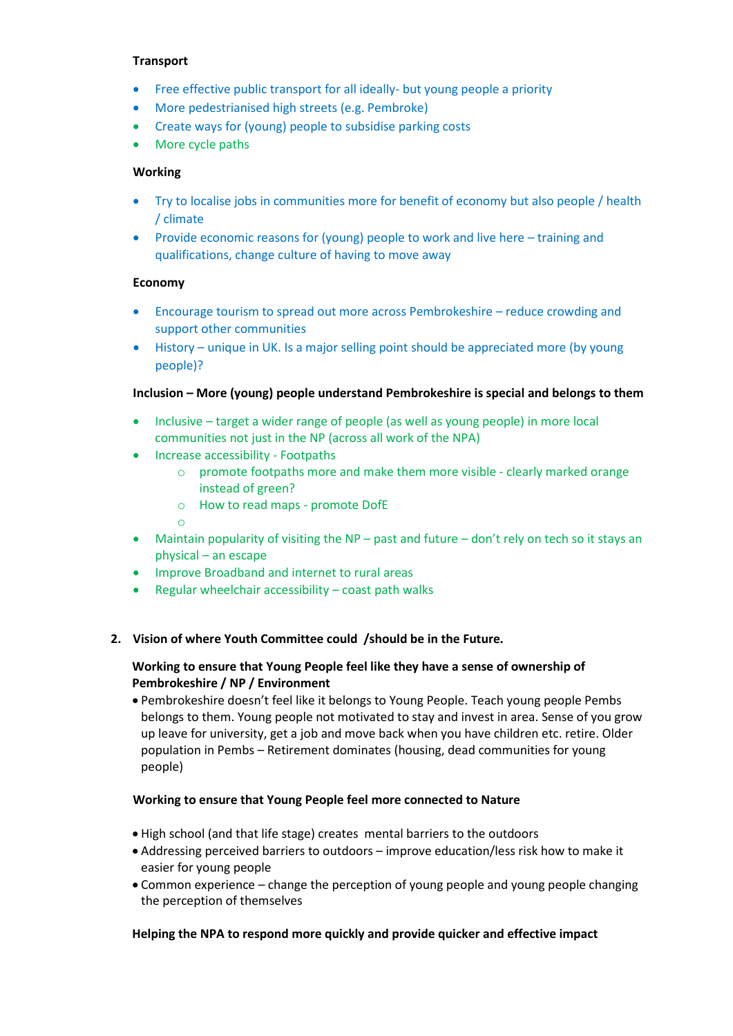## **Transport**

- Free effective public transport for all ideally- but young people a priority
- More pedestrianised high streets (e.g. Pembroke)
- Create ways for (young) people to subsidise parking costs
- More cycle paths

## **Working**

- Try to localise jobs in communities more for benefit of economy but also people / health / climate
- Provide economic reasons for (young) people to work and live here training and qualifications, change culture of having to move away

## **Economy**

- Encourage tourism to spread out more across Pembrokeshire reduce crowding and support other communities
- History unique in UK. Is a major selling point should be appreciated more (by young people)?

## **Inclusion – More (young) people understand Pembrokeshire is special and belongs to them**

- Inclusive target a wider range of people (as well as young people) in more local communities not just in the NP (across all work of the NPA)
- Increase accessibility Footpaths
	- o promote footpaths more and make them more visible clearly marked orange instead of green?
	- o How to read maps promote DofE

#### o

- Maintain popularity of visiting the NP past and future don't rely on tech so it stays an physical – an escape
- Improve Broadband and internet to rural areas
- Regular wheelchair accessibility  $-$  coast path walks

# **2. Vision of where Youth Committee could /should be in the Future.**

## **Working to ensure that Young People feel like they have a sense of ownership of Pembrokeshire / NP / Environment**

• Pembrokeshire doesn't feel like it belongs to Young People. Teach young people Pembs belongs to them. Young people not motivated to stay and invest in area. Sense of you grow up leave for university, get a job and move back when you have children etc. retire. Older population in Pembs – Retirement dominates (housing, dead communities for young people)

## **Working to ensure that Young People feel more connected to Nature**

- High school (and that life stage) creates mental barriers to the outdoors
- Addressing perceived barriers to outdoors improve education/less risk how to make it easier for young people
- Common experience change the perception of young people and young people changing the perception of themselves

# **Helping the NPA to respond more quickly and provide quicker and effective impact**